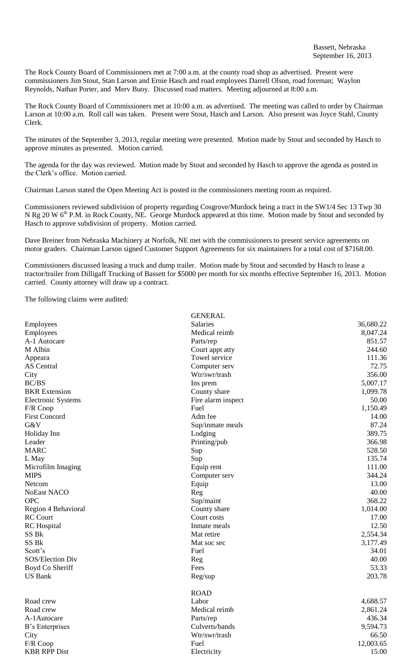The Rock County Board of Commissioners met at 7:00 a.m. at the county road shop as advertised. Present were commissioners Jim Stout, Stan Larson and Ernie Hasch and road employees Darrell Olson, road foreman; Waylon Reynolds, Nathan Porter, and Merv Buoy. Discussed road matters. Meeting adjourned at 8:00 a.m.

The Rock County Board of Commissioners met at 10:00 a.m. as advertised. The meeting was called to order by Chairman Larson at 10:00 a.m. Roll call was taken. Present were Stout, Hasch and Larson. Also present was Joyce Stahl, County Clerk.

The minutes of the September 3, 2013, regular meeting were presented. Motion made by Stout and seconded by Hasch to approve minutes as presented. Motion carried.

The agenda for the day was reviewed. Motion made by Stout and seconded by Hasch to approve the agenda as posted in the Clerk's office. Motion carried.

Chairman Larson stated the Open Meeting Act is posted in the commissioners meeting room as required.

Commissioners reviewed subdivision of property regarding Cosgrove/Murdock being a tract in the SW1/4 Sec 13 Twp 30 N Rg 20 W 6<sup>th</sup> P.M. in Rock County, NE. George Murdock appeared at this time. Motion made by Stout and seconded by Hasch to approve subdivision of property. Motion carried.

Dave Breiner from Nebraska Machinery at Norfolk, NE met with the commissioners to present service agreements on motor graders. Chairman Larson signed Customer Support Agreements for six maintainers for a total cost of \$7168.00.

Commissioners discussed leasing a truck and dump trailer. Motion made by Stout and seconded by Hasch to lease a tractor/trailer from Dilligaff Trucking of Bassett for \$5000 per month for six months effective September 16, 2013. Motion carried. County attorney will draw up a contract.

 $G_{\text{EMED,$ **LE** 

The following claims were audited:

|                           | <b>GENEKAL</b>     |           |
|---------------------------|--------------------|-----------|
| Employees                 | Salaries           | 36,680.22 |
| Employees                 | Medical reimb      | 8,047.24  |
| A-1 Autocare              | Parts/rep          | 851.57    |
| M Albin                   | Court appt atty    | 244.60    |
| Appeara                   | Towel service      | 111.36    |
| AS Central                | Computer serv      | 72.75     |
| City                      | Wtr/swr/trash      | 356.00    |
| <b>BC/BS</b>              | Ins prem           | 5,007.17  |
| <b>BKR</b> Extension      | County share       | 1,099.78  |
| <b>Electronic Systems</b> | Fire alarm inspect | 50.00     |
| F/R Coop                  | Fuel               | 1,150.49  |
| <b>First Concord</b>      | Adm fee            | 14.00     |
| G&V                       | Sup/inmate meals   | 87.24     |
| Holiday Inn               | Lodging            | 389.75    |
| Leader                    | Printing/pub       | 366.98    |
| <b>MARC</b>               | Sup                | 528.50    |
| L May                     | Sup                | 135.74    |
| Microfilm Imaging         | Equip rent         | 111.00    |
| <b>MIPS</b>               | Computer serv      | 344.24    |
| Netcom                    | Equip              | 13.00     |
| <b>NoEast NACO</b>        | Reg                | 40.00     |
| <b>OPC</b>                | Sup/maint          | 368.22    |
| Region 4 Behavioral       | County share       | 1,014.00  |
| <b>RC</b> Court           | Court costs        | 17.00     |
| <b>RC</b> Hospital        | Inmate meals       | 12.50     |
| SS Bk                     | Mat retire         | 2,554.34  |
| SS Bk                     | Mat soc sec        | 3,177.49  |
| Scott's                   | Fuel               | 34.01     |
| SOS/Election Div          | Reg                | 40.00     |
| Boyd Co Sheriff           | Fees               | 53.33     |
| <b>US Bank</b>            | Reg/sup            | 203.78    |
|                           | <b>ROAD</b>        |           |
| Road crew                 | Labor              | 4,688.57  |
| Road crew                 | Medical reimb      | 2,861.24  |
| A-1Autocare               | Parts/rep          | 436.34    |
| B's Enterprises           | Culverts/bands     | 9,594.73  |
| City                      | Wtr/swr/trash      | 66.50     |
| F/R Coop                  | Fuel               | 12,003.65 |
| <b>KBR RPP Dist</b>       | Electricity        | 15.00     |
|                           |                    |           |